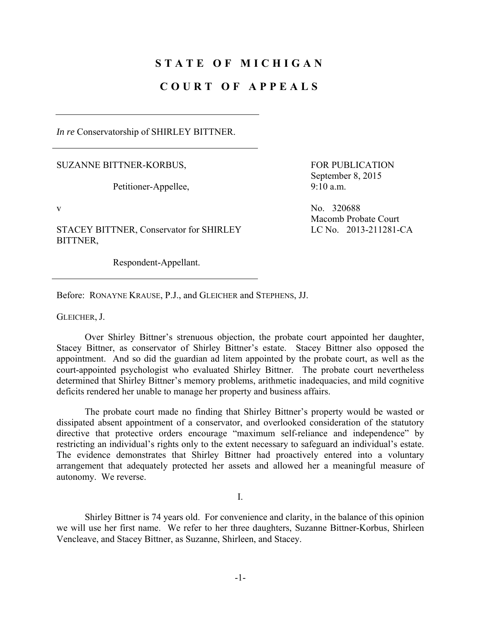## **STATE OF MICHIGAN**

## **COURT OF APPEALS**

*In re* Conservatorship of SHIRLEY BITTNER.

SUZANNE BITTNER-KORBUS,

Petitioner-Appellee,

STACEY BITTNER, Conservator for SHIRLEY BITTNER,

Respondent-Appellant.

FOR PUBLICATION September 8, 2015 9:10 a.m.

v No. 320688 Macomb Probate Court LC No. 2013-211281-CA

Before: RONAYNE KRAUSE, P.J., and GLEICHER and STEPHENS, JJ.

GLEICHER, J.

 Over Shirley Bittner's strenuous objection, the probate court appointed her daughter, Stacey Bittner, as conservator of Shirley Bittner's estate. Stacey Bittner also opposed the appointment. And so did the guardian ad litem appointed by the probate court, as well as the court-appointed psychologist who evaluated Shirley Bittner. The probate court nevertheless determined that Shirley Bittner's memory problems, arithmetic inadequacies, and mild cognitive deficits rendered her unable to manage her property and business affairs.

 The probate court made no finding that Shirley Bittner's property would be wasted or dissipated absent appointment of a conservator, and overlooked consideration of the statutory directive that protective orders encourage "maximum self-reliance and independence" by restricting an individual's rights only to the extent necessary to safeguard an individual's estate. The evidence demonstrates that Shirley Bittner had proactively entered into a voluntary arrangement that adequately protected her assets and allowed her a meaningful measure of autonomy. We reverse.

I.

 Shirley Bittner is 74 years old. For convenience and clarity, in the balance of this opinion we will use her first name. We refer to her three daughters, Suzanne Bittner-Korbus, Shirleen Vencleave, and Stacey Bittner, as Suzanne, Shirleen, and Stacey.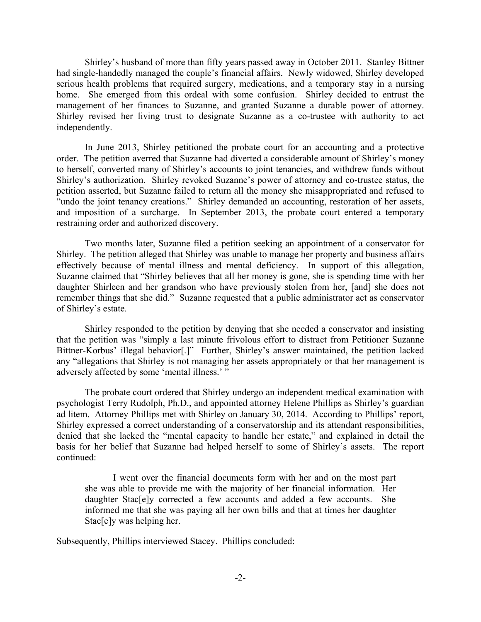Shirley's husband of more than fifty years passed away in October 2011. Stanley Bittner had single-handedly managed the couple's financial affairs. Newly widowed, Shirley developed serious health problems that required surgery, medications, and a temporary stay in a nursing home. She emerged from this ordeal with some confusion. Shirley decided to entrust the management of her finances to Suzanne, and granted Suzanne a durable power of attorney. Shirley revised her living trust to designate Suzanne as a co-trustee with authority to act independently.

 In June 2013, Shirley petitioned the probate court for an accounting and a protective order. The petition averred that Suzanne had diverted a considerable amount of Shirley's money to herself, converted many of Shirley's accounts to joint tenancies, and withdrew funds without Shirley's authorization. Shirley revoked Suzanne's power of attorney and co-trustee status, the petition asserted, but Suzanne failed to return all the money she misappropriated and refused to "undo the joint tenancy creations." Shirley demanded an accounting, restoration of her assets, and imposition of a surcharge. In September 2013, the probate court entered a temporary restraining order and authorized discovery.

 Two months later, Suzanne filed a petition seeking an appointment of a conservator for Shirley. The petition alleged that Shirley was unable to manage her property and business affairs effectively because of mental illness and mental deficiency. In support of this allegation, Suzanne claimed that "Shirley believes that all her money is gone, she is spending time with her daughter Shirleen and her grandson who have previously stolen from her, [and] she does not remember things that she did." Suzanne requested that a public administrator act as conservator of Shirley's estate.

 Shirley responded to the petition by denying that she needed a conservator and insisting that the petition was "simply a last minute frivolous effort to distract from Petitioner Suzanne Bittner-Korbus' illegal behavior[.]" Further, Shirley's answer maintained, the petition lacked any "allegations that Shirley is not managing her assets appropriately or that her management is adversely affected by some 'mental illness.' "

 The probate court ordered that Shirley undergo an independent medical examination with psychologist Terry Rudolph, Ph.D., and appointed attorney Helene Phillips as Shirley's guardian ad litem. Attorney Phillips met with Shirley on January 30, 2014. According to Phillips' report, Shirley expressed a correct understanding of a conservatorship and its attendant responsibilities, denied that she lacked the "mental capacity to handle her estate," and explained in detail the basis for her belief that Suzanne had helped herself to some of Shirley's assets. The report continued:

 I went over the financial documents form with her and on the most part she was able to provide me with the majority of her financial information. Her daughter Stac[e]y corrected a few accounts and added a few accounts. She informed me that she was paying all her own bills and that at times her daughter Stac[e]y was helping her.

Subsequently, Phillips interviewed Stacey. Phillips concluded: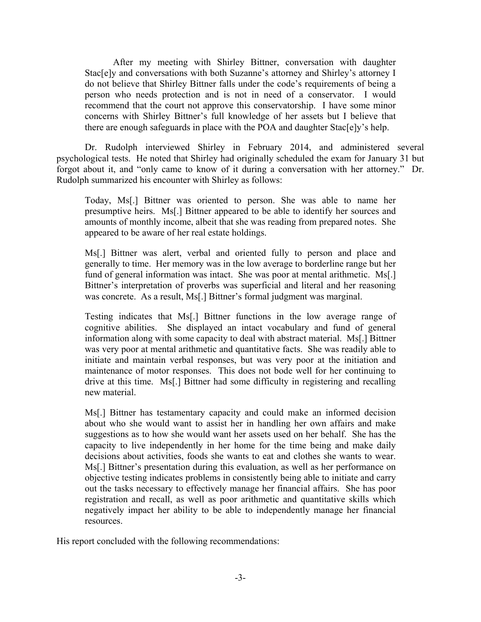After my meeting with Shirley Bittner, conversation with daughter Stac[e]y and conversations with both Suzanne's attorney and Shirley's attorney I do not believe that Shirley Bittner falls under the code's requirements of being a person who needs protection and is not in need of a conservator. I would recommend that the court not approve this conservatorship. I have some minor concerns with Shirley Bittner's full knowledge of her assets but I believe that there are enough safeguards in place with the POA and daughter Stac[e]y's help.

 Dr. Rudolph interviewed Shirley in February 2014, and administered several psychological tests. He noted that Shirley had originally scheduled the exam for January 31 but forgot about it, and "only came to know of it during a conversation with her attorney." Dr. Rudolph summarized his encounter with Shirley as follows:

Today, Ms[.] Bittner was oriented to person. She was able to name her presumptive heirs. Ms[.] Bittner appeared to be able to identify her sources and amounts of monthly income, albeit that she was reading from prepared notes. She appeared to be aware of her real estate holdings.

Ms[.] Bittner was alert, verbal and oriented fully to person and place and generally to time. Her memory was in the low average to borderline range but her fund of general information was intact. She was poor at mental arithmetic. Ms[.] Bittner's interpretation of proverbs was superficial and literal and her reasoning was concrete. As a result, Ms[.] Bittner's formal judgment was marginal.

Testing indicates that Ms[.] Bittner functions in the low average range of cognitive abilities. She displayed an intact vocabulary and fund of general information along with some capacity to deal with abstract material. Ms[.] Bittner was very poor at mental arithmetic and quantitative facts. She was readily able to initiate and maintain verbal responses, but was very poor at the initiation and maintenance of motor responses. This does not bode well for her continuing to drive at this time. Ms[.] Bittner had some difficulty in registering and recalling new material.

Ms[.] Bittner has testamentary capacity and could make an informed decision about who she would want to assist her in handling her own affairs and make suggestions as to how she would want her assets used on her behalf. She has the capacity to live independently in her home for the time being and make daily decisions about activities, foods she wants to eat and clothes she wants to wear. Ms[.] Bittner's presentation during this evaluation, as well as her performance on objective testing indicates problems in consistently being able to initiate and carry out the tasks necessary to effectively manage her financial affairs. She has poor registration and recall, as well as poor arithmetic and quantitative skills which negatively impact her ability to be able to independently manage her financial resources.

His report concluded with the following recommendations: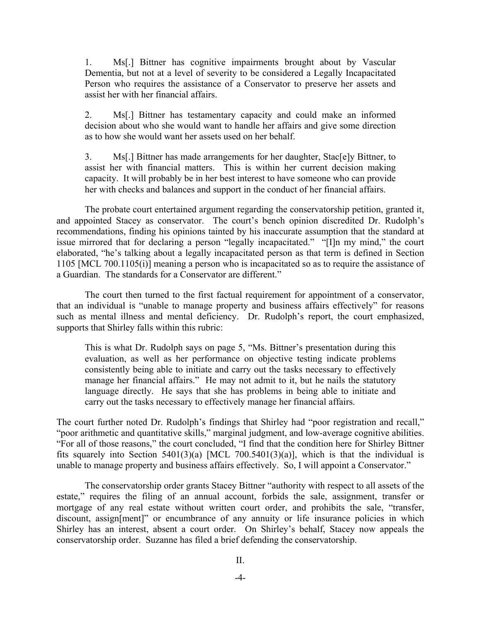1. Ms[.] Bittner has cognitive impairments brought about by Vascular Dementia, but not at a level of severity to be considered a Legally Incapacitated Person who requires the assistance of a Conservator to preserve her assets and assist her with her financial affairs.

2. Ms[.] Bittner has testamentary capacity and could make an informed decision about who she would want to handle her affairs and give some direction as to how she would want her assets used on her behalf.

3. Ms[.] Bittner has made arrangements for her daughter, Stac[e]y Bittner, to assist her with financial matters. This is within her current decision making capacity. It will probably be in her best interest to have someone who can provide her with checks and balances and support in the conduct of her financial affairs.

 The probate court entertained argument regarding the conservatorship petition, granted it, and appointed Stacey as conservator. The court's bench opinion discredited Dr. Rudolph's recommendations, finding his opinions tainted by his inaccurate assumption that the standard at issue mirrored that for declaring a person "legally incapacitated." "[I]n my mind," the court elaborated, "he's talking about a legally incapacitated person as that term is defined in Section 1105 [MCL 700.1105(i)] meaning a person who is incapacitated so as to require the assistance of a Guardian. The standards for a Conservator are different."

 The court then turned to the first factual requirement for appointment of a conservator, that an individual is "unable to manage property and business affairs effectively" for reasons such as mental illness and mental deficiency. Dr. Rudolph's report, the court emphasized, supports that Shirley falls within this rubric:

This is what Dr. Rudolph says on page 5, "Ms. Bittner's presentation during this evaluation, as well as her performance on objective testing indicate problems consistently being able to initiate and carry out the tasks necessary to effectively manage her financial affairs." He may not admit to it, but he nails the statutory language directly. He says that she has problems in being able to initiate and carry out the tasks necessary to effectively manage her financial affairs.

The court further noted Dr. Rudolph's findings that Shirley had "poor registration and recall," "poor arithmetic and quantitative skills," marginal judgment, and low-average cognitive abilities. "For all of those reasons," the court concluded, "I find that the condition here for Shirley Bittner fits squarely into Section  $5401(3)(a)$  [MCL 700.5401(3)(a)], which is that the individual is unable to manage property and business affairs effectively. So, I will appoint a Conservator."

 The conservatorship order grants Stacey Bittner "authority with respect to all assets of the estate," requires the filing of an annual account, forbids the sale, assignment, transfer or mortgage of any real estate without written court order, and prohibits the sale, "transfer, discount, assign[ment]" or encumbrance of any annuity or life insurance policies in which Shirley has an interest, absent a court order. On Shirley's behalf, Stacey now appeals the conservatorship order. Suzanne has filed a brief defending the conservatorship.

 $II$ .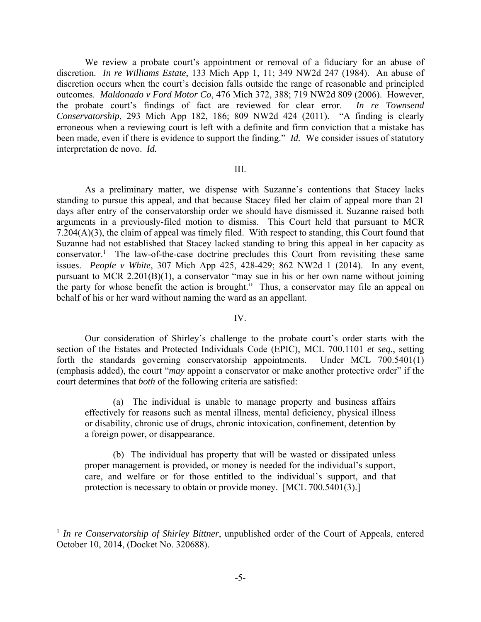We review a probate court's appointment or removal of a fiduciary for an abuse of discretion. *In re Williams Estate*, 133 Mich App 1, 11; 349 NW2d 247 (1984). An abuse of discretion occurs when the court's decision falls outside the range of reasonable and principled outcomes. *Maldonado v Ford Motor Co*, 476 Mich 372, 388; 719 NW2d 809 (2006). However, the probate court's findings of fact are reviewed for clear error. *In re Townsend Conservatorship*, 293 Mich App 182, 186; 809 NW2d 424 (2011). "A finding is clearly erroneous when a reviewing court is left with a definite and firm conviction that a mistake has been made, even if there is evidence to support the finding." *Id.* We consider issues of statutory interpretation de novo. *Id.* 

## III.

 As a preliminary matter, we dispense with Suzanne's contentions that Stacey lacks standing to pursue this appeal, and that because Stacey filed her claim of appeal more than 21 days after entry of the conservatorship order we should have dismissed it. Suzanne raised both arguments in a previously-filed motion to dismiss. This Court held that pursuant to MCR 7.204(A)(3), the claim of appeal was timely filed. With respect to standing, this Court found that Suzanne had not established that Stacey lacked standing to bring this appeal in her capacity as conservator.<sup>1</sup> The law-of-the-case doctrine precludes this Court from revisiting these same issues. *People v White*, 307 Mich App 425, 428-429; 862 NW2d 1 (2014). In any event, pursuant to MCR 2.201(B)(1), a conservator "may sue in his or her own name without joining the party for whose benefit the action is brought." Thus, a conservator may file an appeal on behalf of his or her ward without naming the ward as an appellant.

## IV.

 Our consideration of Shirley's challenge to the probate court's order starts with the section of the Estates and Protected Individuals Code (EPIC), MCL 700.1101 *et seq.*, setting forth the standards governing conservatorship appointments. Under MCL 700.5401(1) (emphasis added), the court "*may* appoint a conservator or make another protective order" if the court determines that *both* of the following criteria are satisfied:

 (a) The individual is unable to manage property and business affairs effectively for reasons such as mental illness, mental deficiency, physical illness or disability, chronic use of drugs, chronic intoxication, confinement, detention by a foreign power, or disappearance.

 (b) The individual has property that will be wasted or dissipated unless proper management is provided, or money is needed for the individual's support, care, and welfare or for those entitled to the individual's support, and that protection is necessary to obtain or provide money. [MCL 700.5401(3).]

 $\overline{a}$ 

<sup>&</sup>lt;sup>1</sup> *In re Conservatorship of Shirley Bittner*, unpublished order of the Court of Appeals, entered October 10, 2014, (Docket No. 320688).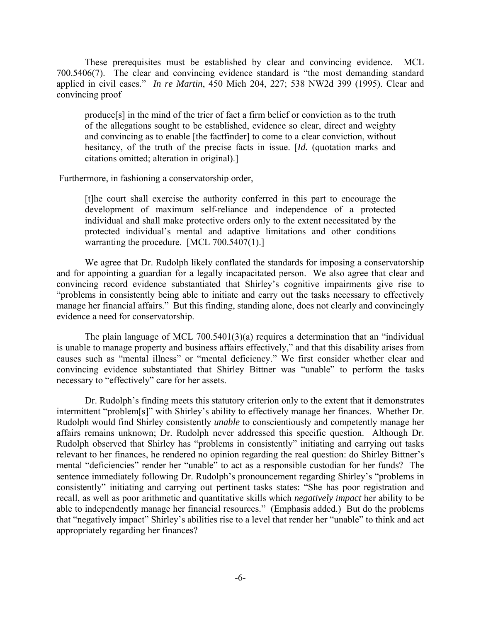These prerequisites must be established by clear and convincing evidence. MCL 700.5406(7). The clear and convincing evidence standard is "the most demanding standard applied in civil cases." *In re Martin*, 450 Mich 204, 227; 538 NW2d 399 (1995). Clear and convincing proof

produce[s] in the mind of the trier of fact a firm belief or conviction as to the truth of the allegations sought to be established, evidence so clear, direct and weighty and convincing as to enable [the factfinder] to come to a clear conviction, without hesitancy, of the truth of the precise facts in issue. [*Id.* (quotation marks and citations omitted; alteration in original).]

Furthermore, in fashioning a conservatorship order,

[t]he court shall exercise the authority conferred in this part to encourage the development of maximum self-reliance and independence of a protected individual and shall make protective orders only to the extent necessitated by the protected individual's mental and adaptive limitations and other conditions warranting the procedure. [MCL 700.5407(1).]

We agree that Dr. Rudolph likely conflated the standards for imposing a conservatorship and for appointing a guardian for a legally incapacitated person. We also agree that clear and convincing record evidence substantiated that Shirley's cognitive impairments give rise to "problems in consistently being able to initiate and carry out the tasks necessary to effectively manage her financial affairs." But this finding, standing alone, does not clearly and convincingly evidence a need for conservatorship.

The plain language of MCL 700.5401(3)(a) requires a determination that an "individual is unable to manage property and business affairs effectively," and that this disability arises from causes such as "mental illness" or "mental deficiency." We first consider whether clear and convincing evidence substantiated that Shirley Bittner was "unable" to perform the tasks necessary to "effectively" care for her assets.

Dr. Rudolph's finding meets this statutory criterion only to the extent that it demonstrates intermittent "problem[s]" with Shirley's ability to effectively manage her finances. Whether Dr. Rudolph would find Shirley consistently *unable* to conscientiously and competently manage her affairs remains unknown; Dr. Rudolph never addressed this specific question. Although Dr. Rudolph observed that Shirley has "problems in consistently" initiating and carrying out tasks relevant to her finances, he rendered no opinion regarding the real question: do Shirley Bittner's mental "deficiencies" render her "unable" to act as a responsible custodian for her funds? The sentence immediately following Dr. Rudolph's pronouncement regarding Shirley's "problems in consistently" initiating and carrying out pertinent tasks states: "She has poor registration and recall, as well as poor arithmetic and quantitative skills which *negatively impact* her ability to be able to independently manage her financial resources." (Emphasis added.) But do the problems that "negatively impact" Shirley's abilities rise to a level that render her "unable" to think and act appropriately regarding her finances?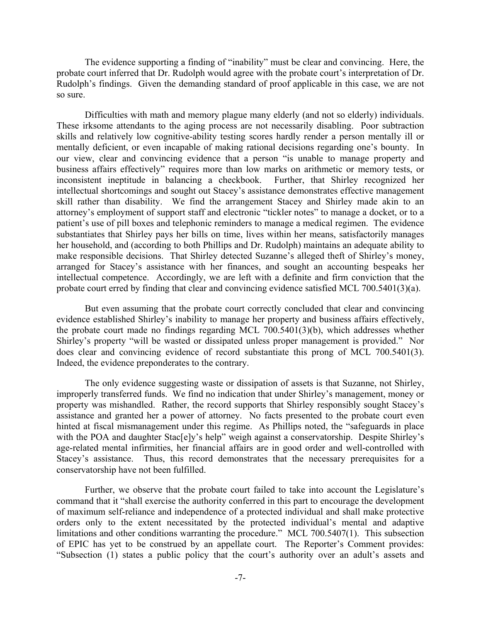The evidence supporting a finding of "inability" must be clear and convincing. Here, the probate court inferred that Dr. Rudolph would agree with the probate court's interpretation of Dr. Rudolph's findings. Given the demanding standard of proof applicable in this case, we are not so sure.

Difficulties with math and memory plague many elderly (and not so elderly) individuals. These irksome attendants to the aging process are not necessarily disabling. Poor subtraction skills and relatively low cognitive-ability testing scores hardly render a person mentally ill or mentally deficient, or even incapable of making rational decisions regarding one's bounty. In our view, clear and convincing evidence that a person "is unable to manage property and business affairs effectively" requires more than low marks on arithmetic or memory tests, or inconsistent ineptitude in balancing a checkbook. Further, that Shirley recognized her intellectual shortcomings and sought out Stacey's assistance demonstrates effective management skill rather than disability. We find the arrangement Stacey and Shirley made akin to an attorney's employment of support staff and electronic "tickler notes" to manage a docket, or to a patient's use of pill boxes and telephonic reminders to manage a medical regimen. The evidence substantiates that Shirley pays her bills on time, lives within her means, satisfactorily manages her household, and (according to both Phillips and Dr. Rudolph) maintains an adequate ability to make responsible decisions. That Shirley detected Suzanne's alleged theft of Shirley's money, arranged for Stacey's assistance with her finances, and sought an accounting bespeaks her intellectual competence. Accordingly, we are left with a definite and firm conviction that the probate court erred by finding that clear and convincing evidence satisfied MCL 700.5401(3)(a).

But even assuming that the probate court correctly concluded that clear and convincing evidence established Shirley's inability to manage her property and business affairs effectively, the probate court made no findings regarding MCL 700.5401(3)(b), which addresses whether Shirley's property "will be wasted or dissipated unless proper management is provided." Nor does clear and convincing evidence of record substantiate this prong of MCL 700.5401(3). Indeed, the evidence preponderates to the contrary.

The only evidence suggesting waste or dissipation of assets is that Suzanne, not Shirley, improperly transferred funds. We find no indication that under Shirley's management, money or property was mishandled. Rather, the record supports that Shirley responsibly sought Stacey's assistance and granted her a power of attorney. No facts presented to the probate court even hinted at fiscal mismanagement under this regime. As Phillips noted, the "safeguards in place with the POA and daughter Stac[e]y's help" weigh against a conservatorship. Despite Shirley's age-related mental infirmities, her financial affairs are in good order and well-controlled with Stacey's assistance. Thus, this record demonstrates that the necessary prerequisites for a conservatorship have not been fulfilled.

Further, we observe that the probate court failed to take into account the Legislature's command that it "shall exercise the authority conferred in this part to encourage the development of maximum self-reliance and independence of a protected individual and shall make protective orders only to the extent necessitated by the protected individual's mental and adaptive limitations and other conditions warranting the procedure." MCL 700.5407(1). This subsection of EPIC has yet to be construed by an appellate court. The Reporter's Comment provides: "Subsection (1) states a public policy that the court's authority over an adult's assets and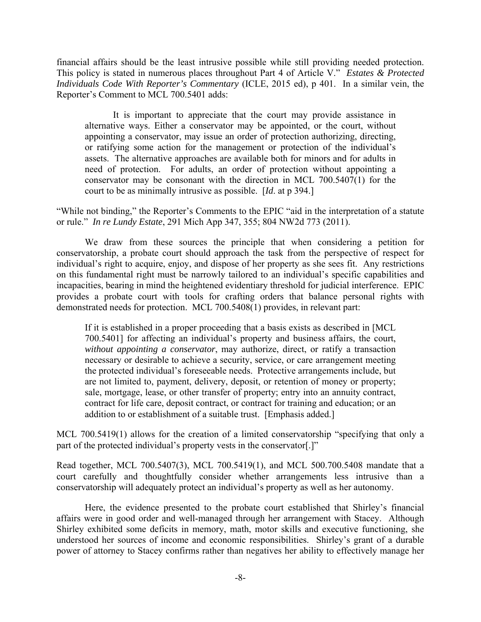financial affairs should be the least intrusive possible while still providing needed protection. This policy is stated in numerous places throughout Part 4 of Article V." *Estates & Protected Individuals Code With Reporter's Commentary* (ICLE, 2015 ed), p 401. In a similar vein, the Reporter's Comment to MCL 700.5401 adds:

 It is important to appreciate that the court may provide assistance in alternative ways. Either a conservator may be appointed, or the court, without appointing a conservator, may issue an order of protection authorizing, directing, or ratifying some action for the management or protection of the individual's assets. The alternative approaches are available both for minors and for adults in need of protection. For adults, an order of protection without appointing a conservator may be consonant with the direction in MCL 700.5407(1) for the court to be as minimally intrusive as possible. [*Id*. at p 394.]

"While not binding," the Reporter's Comments to the EPIC "aid in the interpretation of a statute or rule." *In re Lundy Estate*, 291 Mich App 347, 355; 804 NW2d 773 (2011).

 We draw from these sources the principle that when considering a petition for conservatorship, a probate court should approach the task from the perspective of respect for individual's right to acquire, enjoy, and dispose of her property as she sees fit. Any restrictions on this fundamental right must be narrowly tailored to an individual's specific capabilities and incapacities, bearing in mind the heightened evidentiary threshold for judicial interference. EPIC provides a probate court with tools for crafting orders that balance personal rights with demonstrated needs for protection. MCL 700.5408(1) provides, in relevant part:

If it is established in a proper proceeding that a basis exists as described in [MCL 700.5401] for affecting an individual's property and business affairs, the court, *without appointing a conservator*, may authorize, direct, or ratify a transaction necessary or desirable to achieve a security, service, or care arrangement meeting the protected individual's foreseeable needs. Protective arrangements include, but are not limited to, payment, delivery, deposit, or retention of money or property; sale, mortgage, lease, or other transfer of property; entry into an annuity contract, contract for life care, deposit contract, or contract for training and education; or an addition to or establishment of a suitable trust. [Emphasis added.]

MCL 700.5419(1) allows for the creation of a limited conservatorship "specifying that only a part of the protected individual's property vests in the conservator[.]"

Read together, MCL 700.5407(3), MCL 700.5419(1), and MCL 500.700.5408 mandate that a court carefully and thoughtfully consider whether arrangements less intrusive than a conservatorship will adequately protect an individual's property as well as her autonomy.

 Here, the evidence presented to the probate court established that Shirley's financial affairs were in good order and well-managed through her arrangement with Stacey. Although Shirley exhibited some deficits in memory, math, motor skills and executive functioning, she understood her sources of income and economic responsibilities. Shirley's grant of a durable power of attorney to Stacey confirms rather than negatives her ability to effectively manage her